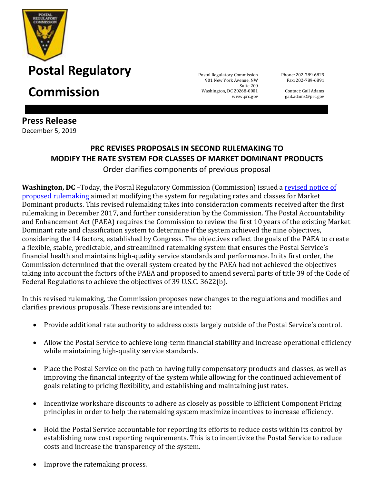

**Commission** Suite 200

**Press Release** December 5, 2019

901 New York Avenue, NW Washington, DC 20268-0001 www.prc.gov

Phone: 202-789-6829 Fax: 202-789-6891

Contact: Gail Adams gail.adams@prc.gov

## **PRC REVISES PROPOSALS IN SECOND RULEMAKING TO MODIFY THE RATE SYSTEM FOR CLASSES OF MARKET DOMINANT PRODUCTS**

Order clarifies components of previous proposal

**Washington, DC** –Today, the Postal Regulatory Commission (Commission) issued a revised notice of [proposed rulemaking](https://www.prc.gov/docs/111/111262/Order5337.pdf) aimed at modifying the system for regulating rates and classes for Market Dominant products. This revised rulemaking takes into consideration comments received after the first rulemaking in December 2017, and further consideration by the Commission. The Postal Accountability and Enhancement Act (PAEA) requires the Commission to review the first 10 years of the existing Market Dominant rate and classification system to determine if the system achieved the nine objectives, considering the 14 factors, established by Congress. The objectives reflect the goals of the PAEA to create a flexible, stable, predictable, and streamlined ratemaking system that ensures the Postal Service's financial health and maintains high-quality service standards and performance. In its first order, the Commission determined that the overall system created by the PAEA had not achieved the objectives taking into account the factors of the PAEA and proposed to amend several parts of title 39 of the Code of Federal Regulations to achieve the objectives of 39 U.S.C. 3622(b).

In this revised rulemaking, the Commission proposes new changes to the regulations and modifies and clarifies previous proposals. These revisions are intended to:

- Provide additional rate authority to address costs largely outside of the Postal Service's control.
- Allow the Postal Service to achieve long-term financial stability and increase operational efficiency while maintaining high-quality service standards.
- Place the Postal Service on the path to having fully compensatory products and classes, as well as improving the financial integrity of the system while allowing for the continued achievement of goals relating to pricing flexibility, and establishing and maintaining just rates.
- Incentivize workshare discounts to adhere as closely as possible to Efficient Component Pricing principles in order to help the ratemaking system maximize incentives to increase efficiency.
- Hold the Postal Service accountable for reporting its efforts to reduce costs within its control by establishing new cost reporting requirements. This is to incentivize the Postal Service to reduce costs and increase the transparency of the system.
- Improve the ratemaking process.